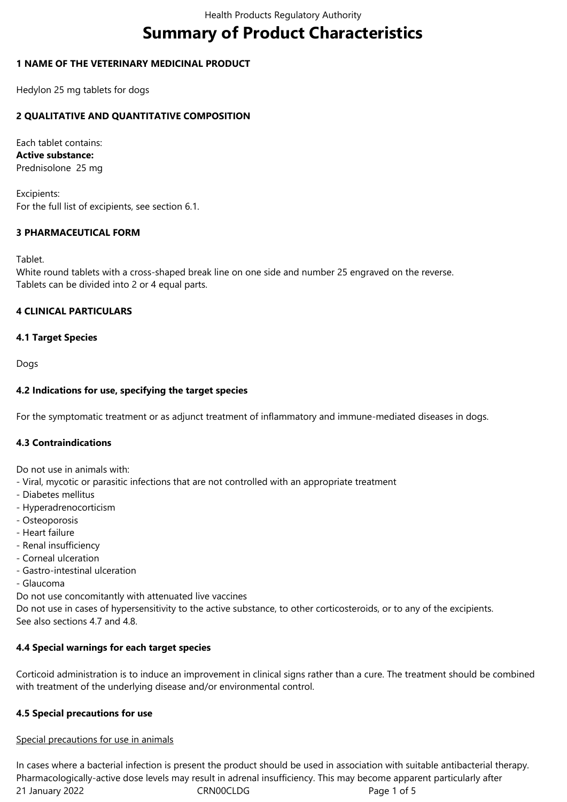# **Summary of Product Characteristics**

# **1 NAME OF THE VETERINARY MEDICINAL PRODUCT**

Hedylon 25 mg tablets for dogs

# **2 QUALITATIVE AND QUANTITATIVE COMPOSITION**

Each tablet contains: **Active substance:** Prednisolone 25 mg

Excipients: For the full list of excipients, see section 6.1.

# **3 PHARMACEUTICAL FORM**

Tablet.

White round tablets with a cross-shaped break line on one side and number 25 engraved on the reverse. Tablets can be divided into 2 or 4 equal parts.

## **4 CLINICAL PARTICULARS**

## **4.1 Target Species**

Dogs

## **4.2 Indications for use, specifying the target species**

For the symptomatic treatment or as adjunct treatment of inflammatory and immune-mediated diseases in dogs.

## **4.3 Contraindications**

Do not use in animals with:

- Viral, mycotic or parasitic infections that are not controlled with an appropriate treatment
- Diabetes mellitus
- Hyperadrenocorticism
- Osteoporosis
- Heart failure
- Renal insufficiency
- Corneal ulceration
- Gastro-intestinal ulceration
- Glaucoma

Do not use concomitantly with attenuated live vaccines

Do not use in cases of hypersensitivity to the active substance, to other corticosteroids, or to any of the excipients. See also sections 4.7 and 4.8.

# **4.4 Special warnings for each target species**

Corticoid administration is to induce an improvement in clinical signs rather than a cure. The treatment should be combined with treatment of the underlying disease and/or environmental control.

## **4.5 Special precautions for use**

## Special precautions for use in animals

21 January 2022 CRN00CLDG CRNOOCLDG In cases where a bacterial infection is present the product should be used in association with suitable antibacterial therapy. Pharmacologically-active dose levels may result in adrenal insufficiency. This may become apparent particularly after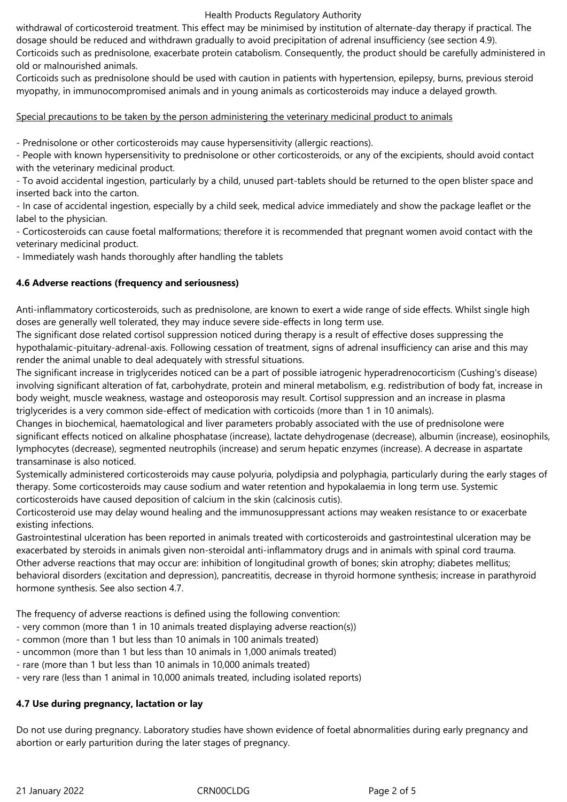### Health Products Regulatory Authority

withdrawal of corticosteroid treatment. This effect may be minimised by institution of alternate-day therapy if practical. The dosage should be reduced and withdrawn gradually to avoid precipitation of adrenal insufficiency (see section 4.9).

Corticoids such as prednisolone, exacerbate protein catabolism. Consequently, the product should be carefully administered in old or malnourished animals.

Corticoids such as prednisolone should be used with caution in patients with hypertension, epilepsy, burns, previous steroid myopathy, in immunocompromised animals and in young animals as corticosteroids may induce a delayed growth.

## Special precautions to be taken by the person administering the veterinary medicinal product to animals

- Prednisolone or other corticosteroids may cause hypersensitivity (allergic reactions).

- People with known hypersensitivity to prednisolone or other corticosteroids, or any of the excipients, should avoid contact with the veterinary medicinal product.

- To avoid accidental ingestion, particularly by a child, unused part-tablets should be returned to the open blister space and inserted back into the carton.

- In case of accidental ingestion, especially by a child seek, medical advice immediately and show the package leaflet or the label to the physician.

- Corticosteroids can cause foetal malformations; therefore it is recommended that pregnant women avoid contact with the veterinary medicinal product.

- Immediately wash hands thoroughly after handling the tablets

# **4.6 Adverse reactions (frequency and seriousness)**

Anti-inflammatory corticosteroids, such as prednisolone, are known to exert a wide range of side effects. Whilst single high doses are generally well tolerated, they may induce severe side-effects in long term use.

The significant dose related cortisol suppression noticed during therapy is a result of effective doses suppressing the hypothalamic-pituitary-adrenal-axis. Following cessation of treatment, signs of adrenal insufficiency can arise and this may render the animal unable to deal adequately with stressful situations.

The significant increase in triglycerides noticed can be a part of possible iatrogenic hyperadrenocorticism (Cushing's disease) involving significant alteration of fat, carbohydrate, protein and mineral metabolism, e.g. redistribution of body fat, increase in body weight, muscle weakness, wastage and osteoporosis may result. Cortisol suppression and an increase in plasma triglycerides is a very common side-effect of medication with corticoids (more than 1 in 10 animals).

Changes in biochemical, haematological and liver parameters probably associated with the use of prednisolone were significant effects noticed on alkaline phosphatase (increase), lactate dehydrogenase (decrease), albumin (increase), eosinophils, lymphocytes (decrease), segmented neutrophils (increase) and serum hepatic enzymes (increase). A decrease in aspartate transaminase is also noticed.

Systemically administered corticosteroids may cause polyuria, polydipsia and polyphagia, particularly during the early stages of therapy. Some corticosteroids may cause sodium and water retention and hypokalaemia in long term use. Systemic corticosteroids have caused deposition of calcium in the skin (calcinosis cutis).

Corticosteroid use may delay wound healing and the immunosuppressant actions may weaken resistance to or exacerbate existing infections.

Gastrointestinal ulceration has been reported in animals treated with corticosteroids and gastrointestinal ulceration may be exacerbated by steroids in animals given non-steroidal anti-inflammatory drugs and in animals with spinal cord trauma. Other adverse reactions that may occur are: inhibition of longitudinal growth of bones; skin atrophy; diabetes mellitus; behavioral disorders (excitation and depression), pancreatitis, decrease in thyroid hormone synthesis; increase in parathyroid hormone synthesis. See also section 4.7.

The frequency of adverse reactions is defined using the following convention:

- very common (more than 1 in 10 animals treated displaying adverse reaction(s))
- common (more than 1 but less than 10 animals in 100 animals treated)
- uncommon (more than 1 but less than 10 animals in 1,000 animals treated)
- rare (more than 1 but less than 10 animals in 10,000 animals treated)
- very rare (less than 1 animal in 10,000 animals treated, including isolated reports)

## **4.7 Use during pregnancy, lactation or lay**

Do not use during pregnancy. Laboratory studies have shown evidence of foetal abnormalities during early pregnancy and abortion or early parturition during the later stages of pregnancy.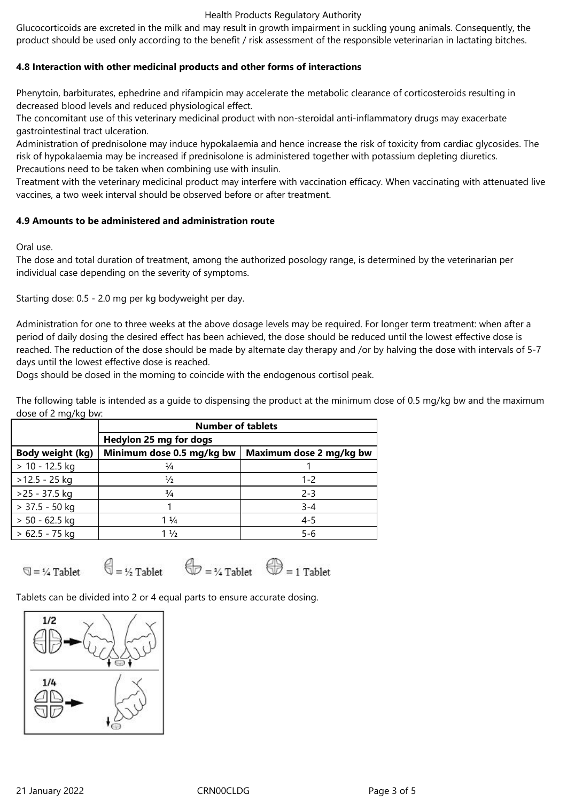### Health Products Regulatory Authority

Glucocorticoids are excreted in the milk and may result in growth impairment in suckling young animals. Consequently, the product should be used only according to the benefit / risk assessment of the responsible veterinarian in lactating bitches.

# **4.8 Interaction with other medicinal products and other forms of interactions**

Phenytoin, barbiturates, ephedrine and rifampicin may accelerate the metabolic clearance of corticosteroids resulting in decreased blood levels and reduced physiological effect.

The concomitant use of this veterinary medicinal product with non-steroidal anti-inflammatory drugs may exacerbate gastrointestinal tract ulceration.

Administration of prednisolone may induce hypokalaemia and hence increase the risk of toxicity from cardiac glycosides. The risk of hypokalaemia may be increased if prednisolone is administered together with potassium depleting diuretics. Precautions need to be taken when combining use with insulin.

Treatment with the veterinary medicinal product may interfere with vaccination efficacy. When vaccinating with attenuated live vaccines, a two week interval should be observed before or after treatment.

## **4.9 Amounts to be administered and administration route**

Oral use.

The dose and total duration of treatment, among the authorized posology range, is determined by the veterinarian per individual case depending on the severity of symptoms.

Starting dose: 0.5 - 2.0 mg per kg bodyweight per day.

Administration for one to three weeks at the above dosage levels may be required. For longer term treatment: when after a period of daily dosing the desired effect has been achieved, the dose should be reduced until the lowest effective dose is reached. The reduction of the dose should be made by alternate day therapy and /or by halving the dose with intervals of 5-7 days until the lowest effective dose is reached.

Dogs should be dosed in the morning to coincide with the endogenous cortisol peak.

The following table is intended as a guide to dispensing the product at the minimum dose of 0.5 mg/kg bw and the maximum dose of 2 mg/kg bw:

|                  | <b>Number of tablets</b>  |                         |
|------------------|---------------------------|-------------------------|
|                  | Hedylon 25 mg for dogs    |                         |
| Body weight (kg) | Minimum dose 0.5 mg/kg bw | Maximum dose 2 mg/kg bw |
| $> 10 - 12.5$ kg | $\frac{1}{4}$             |                         |
| $>12.5 - 25$ kg  | $\frac{1}{2}$             | $1 - 2$                 |
| $>25 - 37.5$ kg  | $\frac{3}{4}$             | $2 - 3$                 |
| $> 37.5 - 50$ kg |                           | $3 - 4$                 |
| $> 50 - 62.5$ kg | $1\frac{1}{4}$            | $4 - 5$                 |
| $> 62.5 - 75$ kg | $1\frac{1}{2}$            | $5 - 6$                 |

 $\overline{Q} = \frac{1}{4}$  Tablet

 $\bigoplus = \frac{1}{2}$  Tablet

 $\bigoplus$  = 34 Tablet  $\bigoplus$  = 1 Tablet

Tablets can be divided into 2 or 4 equal parts to ensure accurate dosing.

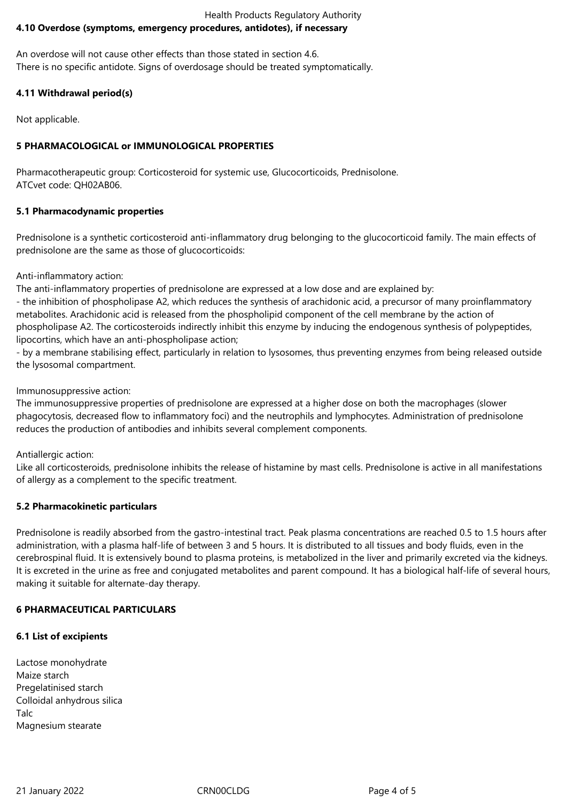## Health Products Regulatory Authority **4.10 Overdose (symptoms, emergency procedures, antidotes), if necessary**

An overdose will not cause other effects than those stated in section 4.6. There is no specific antidote. Signs of overdosage should be treated symptomatically.

# **4.11 Withdrawal period(s)**

Not applicable.

# **5 PHARMACOLOGICAL or IMMUNOLOGICAL PROPERTIES**

Pharmacotherapeutic group: Corticosteroid for systemic use, Glucocorticoids, Prednisolone. ATCvet code: QH02AB06.

# **5.1 Pharmacodynamic properties**

Prednisolone is a synthetic corticosteroid anti-inflammatory drug belonging to the glucocorticoid family. The main effects of prednisolone are the same as those of glucocorticoids:

## Anti-inflammatory action:

The anti-inflammatory properties of prednisolone are expressed at a low dose and are explained by:

- the inhibition of phospholipase A2, which reduces the synthesis of arachidonic acid, a precursor of many proinflammatory metabolites. Arachidonic acid is released from the phospholipid component of the cell membrane by the action of phospholipase A2. The corticosteroids indirectly inhibit this enzyme by inducing the endogenous synthesis of polypeptides, lipocortins, which have an anti-phospholipase action;

- by a membrane stabilising effect, particularly in relation to lysosomes, thus preventing enzymes from being released outside the lysosomal compartment.

## Immunosuppressive action:

The immunosuppressive properties of prednisolone are expressed at a higher dose on both the macrophages (slower phagocytosis, decreased flow to inflammatory foci) and the neutrophils and lymphocytes. Administration of prednisolone reduces the production of antibodies and inhibits several complement components.

# Antiallergic action:

Like all corticosteroids, prednisolone inhibits the release of histamine by mast cells. Prednisolone is active in all manifestations of allergy as a complement to the specific treatment.

# **5.2 Pharmacokinetic particulars**

Prednisolone is readily absorbed from the gastro-intestinal tract. Peak plasma concentrations are reached 0.5 to 1.5 hours after administration, with a plasma half-life of between 3 and 5 hours. It is distributed to all tissues and body fluids, even in the cerebrospinal fluid. It is extensively bound to plasma proteins, is metabolized in the liver and primarily excreted via the kidneys. It is excreted in the urine as free and conjugated metabolites and parent compound. It has a biological half-life of several hours, making it suitable for alternate-day therapy.

# **6 PHARMACEUTICAL PARTICULARS**

# **6.1 List of excipients**

Lactose monohydrate Maize starch Pregelatinised starch Colloidal anhydrous silica Talc Magnesium stearate